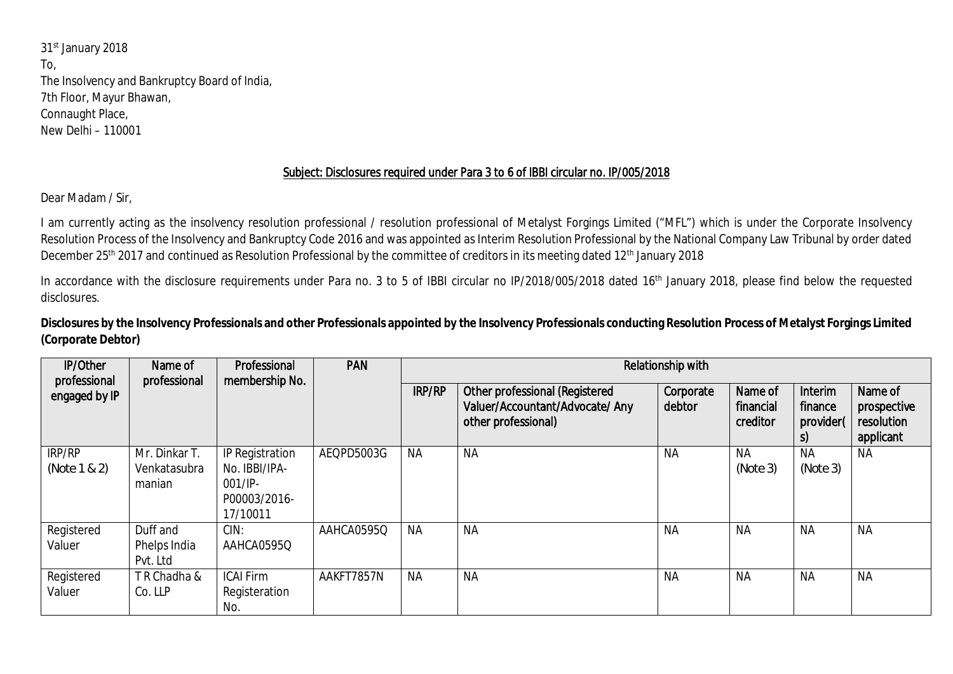31st January 2018 To, The Insolvency and Bankruptcy Board of India, 7th Floor, Mayur Bhawan, Connaught Place, New Delhi – 110001

## Subject: Disclosures required under Para 3 to 6 of IBBI circular no. IP/005/2018

Dear Madam / Sir,

I am currently acting as the insolvency resolution professional / resolution professional of Metalyst Forgings Limited ("MFL") which is under the Corporate Insolvency Resolution Process of the Insolvency and Bankruptcy Code 2016 and was appointed as Interim Resolution Professional by the National Company Law Tribunal by order dated December 25<sup>th</sup> 2017 and continued as Resolution Professional by the committee of creditors in its meeting dated 12<sup>th</sup> January 2018

In accordance with the disclosure requirements under Para no. 3 to 5 of IBBI circular no IP/2018/005/2018 dated 16<sup>th</sup> January 2018, please find below the requested disclosures.

**Disclosures by the Insolvency Professionals and other Professionals appointed by the Insolvency Professionals conducting Resolution Process of Metalyst Forgings Limited (Corporate Debtor)**

| <b>IP/Other</b><br>professional | Name of<br>professional                 | Professional<br>membership No.                                             | <b>PAN</b> | Relationship with |                                                                                                 |                     |                                  |                                 |                                                   |  |
|---------------------------------|-----------------------------------------|----------------------------------------------------------------------------|------------|-------------------|-------------------------------------------------------------------------------------------------|---------------------|----------------------------------|---------------------------------|---------------------------------------------------|--|
| engaged by IP                   |                                         |                                                                            |            | <b>IRP/RP</b>     | <b>Other professional (Registered</b><br>Valuer/Accountant/Advocate/ Any<br>other professional) | Corporate<br>debtor | Name of<br>financial<br>creditor | Interim<br>finance<br>provider( | Name of<br>prospective<br>resolution<br>applicant |  |
| IRP/RP<br>(Note 1 & 2)          | Mr. Dinkar T.<br>Venkatasubra<br>manian | IP Registration<br>No. IBBI/IPA-<br>$001/IP -$<br>P00003/2016-<br>17/10011 | AEQPD5003G | <b>NA</b>         | <b>NA</b>                                                                                       | <b>NA</b>           | <b>NA</b><br>(Note 3)            | <b>NA</b><br>(Note 3)           | <b>NA</b>                                         |  |
| Registered<br>Valuer            | Duff and<br>Phelps India<br>Pvt. Ltd    | CIN:<br>AAHCA0595Q                                                         | AAHCA0595Q | <b>NA</b>         | <b>NA</b>                                                                                       | <b>NA</b>           | <b>NA</b>                        | <b>NA</b>                       | <b>NA</b>                                         |  |
| Registered<br>Valuer            | TR Chadha &<br>Co. LLP                  | <b>ICAI Firm</b><br>Registeration<br>No.                                   | AAKFT7857N | <b>NA</b>         | <b>NA</b>                                                                                       | <b>NA</b>           | <b>NA</b>                        | <b>NA</b>                       | <b>NA</b>                                         |  |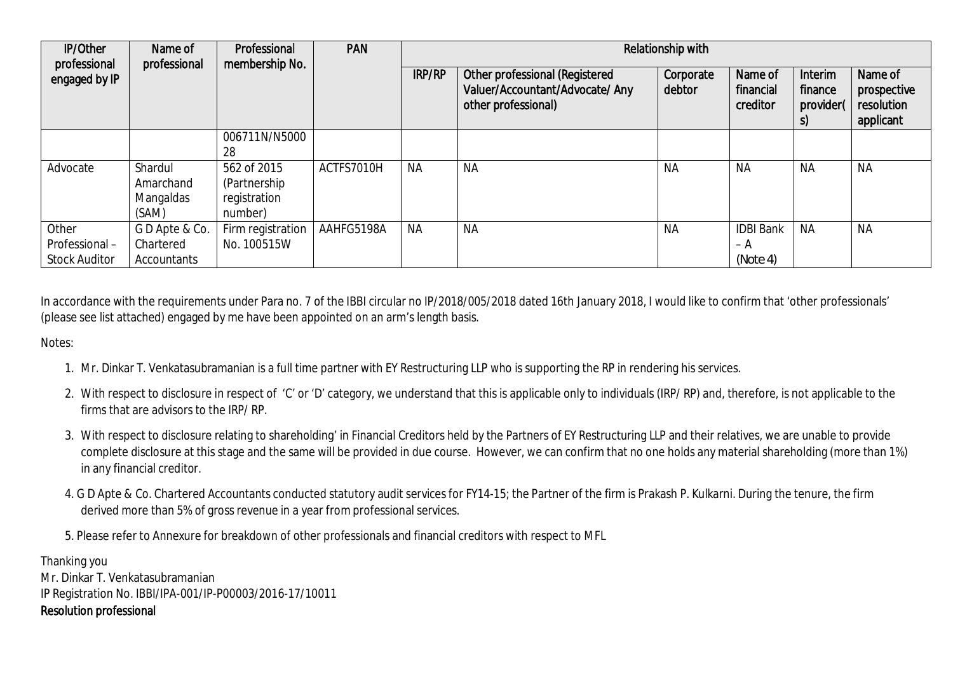| <b>IP/Other</b><br>professional                | Name of<br>professional                    | Professional<br>membership No.                          | <b>PAN</b> | Relationship with |                                                                                          |                     |                                     |                                       |                                                   |
|------------------------------------------------|--------------------------------------------|---------------------------------------------------------|------------|-------------------|------------------------------------------------------------------------------------------|---------------------|-------------------------------------|---------------------------------------|---------------------------------------------------|
| engaged by IP                                  |                                            |                                                         |            | <b>IRP/RP</b>     | Other professional (Registered<br>Valuer/Accountant/Advocate/ Any<br>other professional) | Corporate<br>debtor | Name of<br>financial<br>creditor    | Interim<br>finance<br>provider(<br>S) | Name of<br>prospective<br>resolution<br>applicant |
|                                                |                                            | 006711N/N5000<br>28                                     |            |                   |                                                                                          |                     |                                     |                                       |                                                   |
| Advocate                                       | Shardul<br>Amarchand<br>Mangaldas<br>(SAM) | 562 of 2015<br>(Partnership)<br>registration<br>number) | ACTFS7010H | <b>NA</b>         | <b>NA</b>                                                                                | <b>NA</b>           | <b>NA</b>                           | <b>NA</b>                             | <b>NA</b>                                         |
| Other<br>Professional-<br><b>Stock Auditor</b> | GD Apte & Co.<br>Chartered<br>Accountants  | Firm registration<br>No. 100515W                        | AAHFG5198A | <b>NA</b>         | <b>NA</b>                                                                                | <b>NA</b>           | <b>IDBI Bank</b><br>– A<br>(Note 4) | <b>NA</b>                             | <b>NA</b>                                         |

In accordance with the requirements under Para no. 7 of the IBBI circular no IP/2018/005/2018 dated 16th January 2018, I would like to confirm that 'other professionals' (please see list attached) engaged by me have been appointed on an arm's length basis.

Notes:

- 1. Mr. Dinkar T. Venkatasubramanian is a full time partner with EY Restructuring LLP who is supporting the RP in rendering his services.
- 2. With respect to disclosure in respect of 'C' or 'D' category, we understand that this is applicable only to individuals (IRP/ RP) and, therefore, is not applicable to the firms that are advisors to the IRP/ RP.
- 3. With respect to disclosure relating to shareholding' in Financial Creditors held by the Partners of EY Restructuring LLP and their relatives, we are unable to provide complete disclosure at this stage and the same will be provided in due course. However, we can confirm that no one holds any material shareholding (more than 1%) in any financial creditor.
- 4. G D Apte & Co. Chartered Accountants conducted statutory audit services for FY14-15; the Partner of the firm is Prakash P. Kulkarni. During the tenure, the firm derived more than 5% of gross revenue in a year from professional services.

5. Please refer to Annexure for breakdown of other professionals and financial creditors with respect to MFL

Thanking you Mr. Dinkar T. Venkatasubramanian IP Registration No. IBBI/IPA-001/IP-P00003/2016-17/10011 Resolution professional